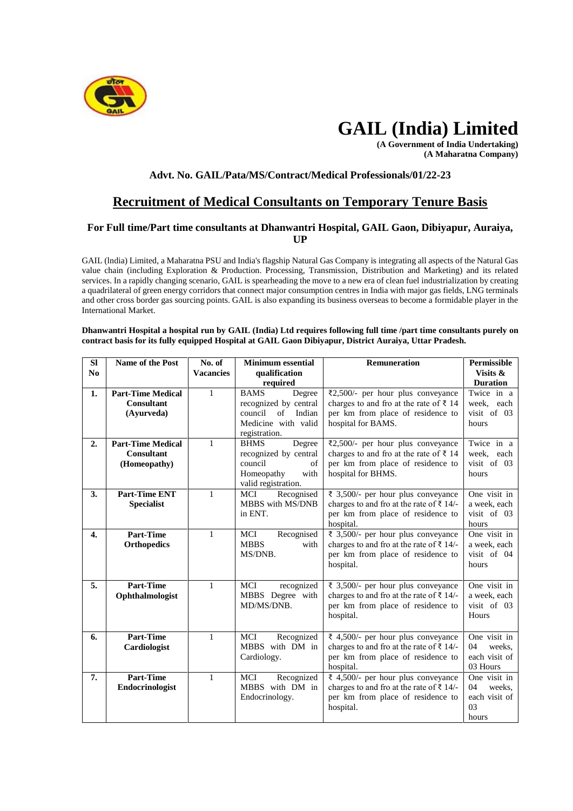

# **GAIL (India) Limited**

**(A Government of India Undertaking) (A Maharatna Company)**

# **Advt. No. GAIL/Pata/MS/Contract/Medical Professionals/01/22-23**

# **Recruitment of Medical Consultants on Temporary Tenure Basis**

## **For Full time/Part time consultants at Dhanwantri Hospital, GAIL Gaon, Dibiyapur, Auraiya, UP**

GAIL (lndia) Limited, a Maharatna PSU and India's flagship Natural Gas Company is integrating all aspects of the Natural Gas value chain (including Exploration & Production. Processing, Transmission, Distribution and Marketing) and its related services. In a rapidly changing scenario, GAIL is spearheading the move to a new era of clean fuel industrialization by creating a quadrilateral of green energy corridors that connect major consumption centres in India with major gas fields, LNG terminals and other cross border gas sourcing points. GAIL is also expanding its business overseas to become a formidable player in the International Market.

#### **Dhanwantri Hospital a hospital run by GAIL (India) Ltd requires following full time /part time consultants purely on contract basis for its fully equipped Hospital at GAIL Gaon Dibiyapur, District Auraiya, Uttar Pradesh.**

| <b>SI</b>        | <b>Name of the Post</b>                                       | No. of           | <b>Minimum</b> essential                                                                                          | Remuneration                                                                                                                                               | <b>Permissible</b>                                           |
|------------------|---------------------------------------------------------------|------------------|-------------------------------------------------------------------------------------------------------------------|------------------------------------------------------------------------------------------------------------------------------------------------------------|--------------------------------------------------------------|
| N <sub>0</sub>   |                                                               | <b>Vacancies</b> | qualification<br>required                                                                                         |                                                                                                                                                            | Visits &<br><b>Duration</b>                                  |
| 1.               | <b>Part-Time Medical</b><br><b>Consultant</b><br>(Ayurveda)   | $\mathbf{1}$     | <b>BAMS</b><br>Degree<br>recognized by central<br>council<br>of<br>Indian<br>Medicine with valid<br>registration. | ₹2,500/- per hour plus conveyance<br>charges to and fro at the rate of $\bar{\tau}$ 14<br>per km from place of residence to<br>hospital for BAMS.          | Twice in a<br>week, each<br>visit of 03<br>hours             |
| 2.               | <b>Part-Time Medical</b><br><b>Consultant</b><br>(Homeopathy) | $\mathbf{1}$     | <b>BHMS</b><br>Degree<br>recognized by central<br>council<br>of<br>Homeopathy<br>with<br>valid registration.      | ₹2,500/- per hour plus conveyance<br>charges to and fro at the rate of $\bar{\tau}$ 14<br>per km from place of residence to<br>hospital for BHMS.          | Twice in a<br>week, each<br>visit of 03<br>hours             |
| 3.               | <b>Part-Time ENT</b><br><b>Specialist</b>                     | $\mathbf{1}$     | Recognised<br><b>MCI</b><br>MBBS with MS/DNB<br>in ENT.                                                           | ₹ 3,500/- per hour plus conveyance<br>charges to and fro at the rate of $\bar{\tau}$ 14/-<br>per km from place of residence to<br>hospital.                | One visit in<br>a week, each<br>visit of 03<br>hours         |
| $\overline{4}$ . | <b>Part-Time</b><br><b>Orthopedics</b>                        | $\mathbf{1}$     | <b>MCI</b><br>Recognised<br><b>MBBS</b><br>with<br>MS/DNB.                                                        | ₹ 3,500/- per hour plus conveyance<br>charges to and fro at the rate of ₹ 14/-<br>per km from place of residence to<br>hospital.                           | One visit in<br>a week, each<br>visit of 04<br>hours         |
| 5.               | <b>Part-Time</b><br>Ophthalmologist                           | $\mathbf{1}$     | <b>MCI</b><br>recognized<br>MBBS Degree with<br>MD/MS/DNB.                                                        | ₹ 3,500/- per hour plus conveyance<br>charges to and fro at the rate of $\bar{\tau}$ 14/-<br>per km from place of residence to<br>hospital.                | One visit in<br>a week, each<br>visit of 03<br>Hours         |
| 6.               | <b>Part-Time</b><br>Cardiologist                              | $\mathbf{1}$     | Recognized<br><b>MCI</b><br>MBBS with DM in<br>Cardiology.                                                        | ₹ 4,500/- per hour plus conveyance<br>charges to and fro at the rate of $\bar{\tau}$ 14/-<br>per km from place of residence to<br>hospital.                | One visit in<br>04<br>weeks.<br>each visit of<br>03 Hours    |
| 7.               | <b>Part-Time</b><br>Endocrinologist                           | $\mathbf{1}$     | MCI<br>Recognized<br>MBBS with DM in<br>Endocrinology.                                                            | $\overline{\xi}$ 4,500/- per hour plus conveyance<br>charges to and fro at the rate of $\bar{\tau}$ 14/-<br>per km from place of residence to<br>hospital. | One visit in<br>04<br>weeks.<br>each visit of<br>03<br>hours |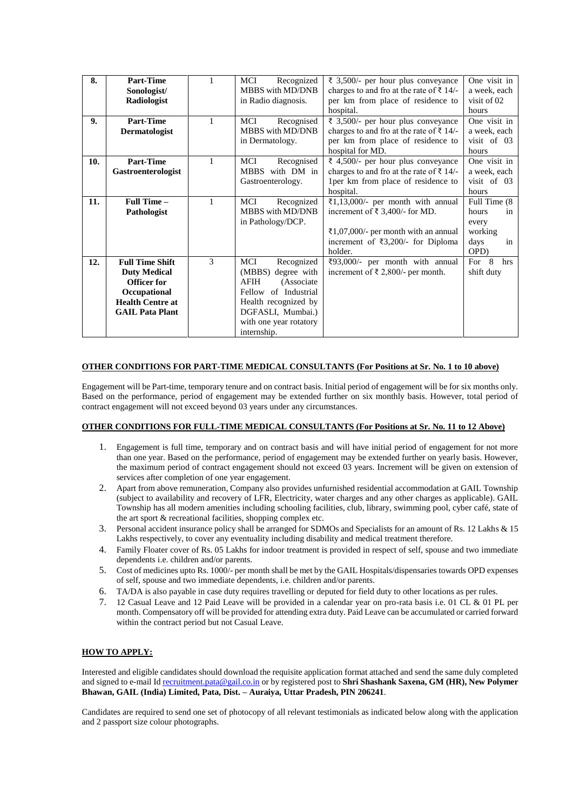| 8.  | Part-Time               |              | <b>MCI</b><br>Recognized   | ₹ 3,500/- per hour plus conveyance                  | One visit in  |
|-----|-------------------------|--------------|----------------------------|-----------------------------------------------------|---------------|
|     | Sonologist/             |              | MBBS with MD/DNB           | charges to and fro at the rate of $\bar{\tau}$ 14/- | a week, each  |
|     | Radiologist             |              | in Radio diagnosis.        | per km from place of residence to                   | visit of 02   |
|     |                         |              |                            | hospital.                                           | hours         |
| 9.  | Part-Time               | $\mathbf{1}$ | MCI<br>Recognised          | ₹ 3,500/- per hour plus conveyance                  | One visit in  |
|     | <b>Dermatologist</b>    |              | MBBS with MD/DNB           | charges to and fro at the rate of $\bar{\tau}$ 14/- | a week, each  |
|     |                         |              | in Dermatology.            | per km from place of residence to                   | visit of 03   |
|     |                         |              |                            | hospital for MD.                                    | hours         |
| 10. | <b>Part-Time</b>        | 1            | MCI<br>Recognised          | ₹ 4,500/- per hour plus conveyance                  | One visit in  |
|     | Gastroenterologist      |              | MBBS with DM in            | charges to and fro at the rate of $\bar{\tau}$ 14/- | a week, each  |
|     |                         |              | Gastroenterology.          | 1 per km from place of residence to                 | visit of 03   |
|     |                         |              |                            | hospital.                                           | hours         |
| 11. | Full Time-              | $\mathbf{1}$ | Recognized<br>MCI          | $\overline{\xi}1,13,000/$ - per month with annual   | Full Time (8) |
|     | Pathologist             |              | MBBS with MD/DNB           | increment of $\bar{\xi}$ 3,400/- for MD.            | hours<br>in   |
|     |                         |              | in Pathology/DCP.          |                                                     | every         |
|     |                         |              |                            | ₹1,07,000/- per month with an annual                | working       |
|     |                         |              |                            | increment of $\overline{\xi}$ 3,200/- for Diploma   | days<br>in    |
|     |                         |              |                            | holder.                                             | OPD)          |
| 12. | <b>Full Time Shift</b>  | 3            | Recognized<br>MCI          | ₹93,000/- per month with annual                     | For 8<br>hrs  |
|     | <b>Duty Medical</b>     |              | (MBBS) degree with         | increment of $\bar{\xi}$ 2,800/- per month.         | shift duty    |
|     | Officer for             |              | <b>AFIH</b><br>(Associate) |                                                     |               |
|     | Occupational            |              | Fellow of Industrial       |                                                     |               |
|     | <b>Health Centre at</b> |              | Health recognized by       |                                                     |               |
|     | <b>GAIL Pata Plant</b>  |              | DGFASLI, Mumbai.)          |                                                     |               |
|     |                         |              | with one year rotatory     |                                                     |               |
|     |                         |              | internship.                |                                                     |               |

#### **OTHER CONDITIONS FOR PART-TIME MEDICAL CONSULTANTS (For Positions at Sr. No. 1 to 10 above)**

Engagement will be Part-time, temporary tenure and on contract basis. Initial period of engagement will be for six months only. Based on the performance, period of engagement may be extended further on six monthly basis. However, total period of contract engagement will not exceed beyond 03 years under any circumstances.

### **OTHER CONDITIONS FOR FULL-TIME MEDICAL CONSULTANTS (For Positions at Sr. No. 11 to 12 Above)**

- 1. Engagement is full time, temporary and on contract basis and will have initial period of engagement for not more than one year. Based on the performance, period of engagement may be extended further on yearly basis. However, the maximum period of contract engagement should not exceed 03 years. Increment will be given on extension of services after completion of one year engagement.
- 2. Apart from above remuneration, Company also provides unfurnished residential accommodation at GAIL Township (subject to availability and recovery of LFR, Electricity, water charges and any other charges as applicable). GAIL Township has all modern amenities including schooling facilities, club, library, swimming pool, cyber café, state of the art sport & recreational facilities, shopping complex etc.
- 3. Personal accident insurance policy shall be arranged for SDMOs and Specialists for an amount of Rs. 12 Lakhs & 15 Lakhs respectively, to cover any eventuality including disability and medical treatment therefore.
- 4. Family Floater cover of Rs. 05 Lakhs for indoor treatment is provided in respect of self, spouse and two immediate dependents i.e. children and/or parents.
- 5. Cost of medicines upto Rs. 1000/- per month shall be met by the GAIL Hospitals/dispensaries towards OPD expenses of self, spouse and two immediate dependents, i.e. children and/or parents.
- 6. TA/DA is also payable in case duty requires travelling or deputed for field duty to other locations as per rules.
- 7. 12 Casual Leave and 12 Paid Leave will be provided in a calendar year on pro-rata basis i.e. 01 CL & 01 PL per month. Compensatory off will be provided for attending extra duty. Paid Leave can be accumulated or carried forward within the contract period but not Casual Leave.

#### **HOW TO APPLY:**

Interested and eligible candidates should download the requisite application format attached and send the same duly completed and signed to e-mail I[d recruitment.pata@gail.co.in](mailto:recruitment.pata@gail.co.in) or by registered post to **Shri Shashank Saxena, GM (HR), New Polymer Bhawan, GAIL (India) Limited, Pata, Dist. – Auraiya, Uttar Pradesh, PIN 206241**.

Candidates are required to send one set of photocopy of all relevant testimonials as indicated below along with the application and 2 passport size colour photographs.